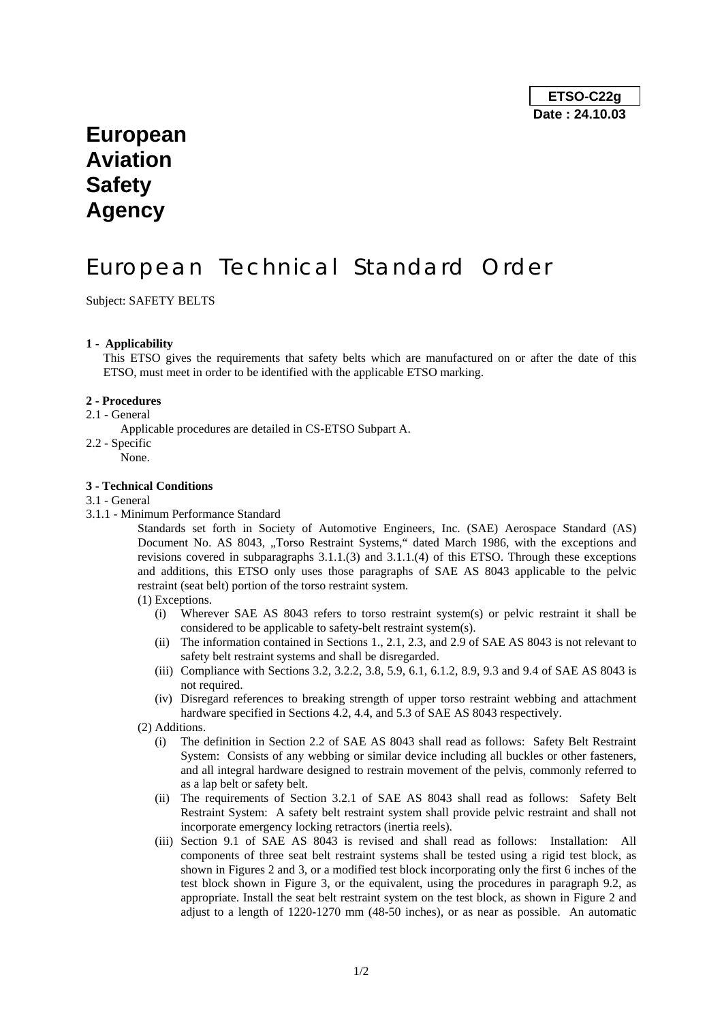## **European Aviation Safety Agency**

# European Technical Standard Order

Subject: SAFETY BELTS

#### **1 - Applicability**

This ETSO gives the requirements that safety belts which are manufactured on or after the date of this ETSO, must meet in order to be identified with the applicable ETSO marking.

#### **2 - Procedures**

- 2.1 General
	- Applicable procedures are detailed in CS-ETSO Subpart A.
- 2.2 Specific
	- None.

## **3 - Technical Conditions**

- 3.1 General
- 3.1.1 Minimum Performance Standard

Standards set forth in Society of Automotive Engineers, Inc. (SAE) Aerospace Standard (AS) Document No. AS 8043, "Torso Restraint Systems," dated March 1986, with the exceptions and revisions covered in subparagraphs 3.1.1.(3) and 3.1.1.(4) of this ETSO. Through these exceptions and additions, this ETSO only uses those paragraphs of SAE AS 8043 applicable to the pelvic restraint (seat belt) portion of the torso restraint system.

#### (1) Exceptions.

- (i) Wherever SAE AS 8043 refers to torso restraint system(s) or pelvic restraint it shall be considered to be applicable to safety-belt restraint system(s).
- (ii) The information contained in Sections 1., 2.1, 2.3, and 2.9 of SAE AS 8043 is not relevant to safety belt restraint systems and shall be disregarded.
- (iii) Compliance with Sections 3.2, 3.2.2, 3.8, 5.9, 6.1, 6.1.2, 8.9, 9.3 and 9.4 of SAE AS 8043 is not required.
- (iv) Disregard references to breaking strength of upper torso restraint webbing and attachment hardware specified in Sections 4.2, 4.4, and 5.3 of SAE AS 8043 respectively.
- (2) Additions.
	- (i) The definition in Section 2.2 of SAE AS 8043 shall read as follows: Safety Belt Restraint System: Consists of any webbing or similar device including all buckles or other fasteners, and all integral hardware designed to restrain movement of the pelvis, commonly referred to as a lap belt or safety belt.
	- (ii) The requirements of Section 3.2.1 of SAE AS 8043 shall read as follows: Safety Belt Restraint System: A safety belt restraint system shall provide pelvic restraint and shall not incorporate emergency locking retractors (inertia reels).
	- (iii) Section 9.1 of SAE AS 8043 is revised and shall read as follows: Installation: All components of three seat belt restraint systems shall be tested using a rigid test block, as shown in Figures 2 and 3, or a modified test block incorporating only the first 6 inches of the test block shown in Figure 3, or the equivalent, using the procedures in paragraph 9.2, as appropriate. Install the seat belt restraint system on the test block, as shown in Figure 2 and adjust to a length of 1220-1270 mm (48-50 inches), or as near as possible. An automatic